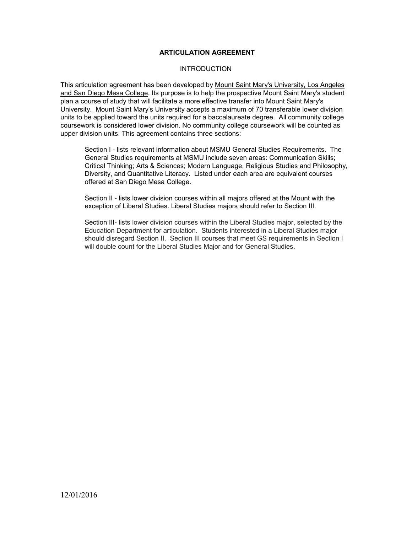# **ARTICULATION AGREEMENT**

#### **INTRODUCTION**

This articulation agreement has been developed by Mount Saint Mary's University, Los Angeles and San Diego Mesa College. Its purpose is to help the prospective Mount Saint Mary's student plan a course of study that will facilitate a more effective transfer into Mount Saint Mary's University. Mount Saint Mary's University accepts a maximum of 70 transferable lower division units to be applied toward the units required for a baccalaureate degree. All community college coursework is considered lower division. No community college coursework will be counted as upper division units. This agreement contains three sections:

Section I - lists relevant information about MSMU General Studies Requirements. The General Studies requirements at MSMU include seven areas: Communication Skills; Critical Thinking; Arts & Sciences; Modern Language, Religious Studies and Philosophy, Diversity, and Quantitative Literacy. Listed under each area are equivalent courses offered at San Diego Mesa College.

Section II - lists lower division courses within all majors offered at the Mount with the exception of Liberal Studies. Liberal Studies majors should refer to Section III.

Section III- lists lower division courses within the Liberal Studies major, selected by the Education Department for articulation. Students interested in a Liberal Studies major should disregard Section II. Section III courses that meet GS requirements in Section I will double count for the Liberal Studies Major and for General Studies.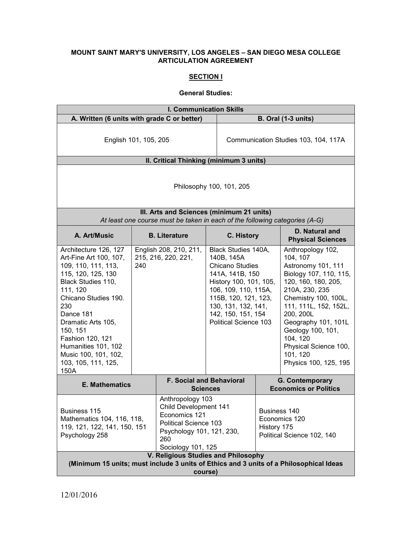# **MOUNT SAINT MARY'S UNIVERSITY, LOS ANGELES – SAN DIEGO MESA COLLEGE ARTICULATION AGREEMENT**

#### **SECTION I**

## **General Studies:**

| <b>I. Communication Skills</b>                                                                                                                                                                                                                                                                                 |                                                                                                                                                      |                                                                                                     |                                                                                                                                                                                                                                |                                                                            |                                                                                                                                                                                                                                                                                                            |
|----------------------------------------------------------------------------------------------------------------------------------------------------------------------------------------------------------------------------------------------------------------------------------------------------------------|------------------------------------------------------------------------------------------------------------------------------------------------------|-----------------------------------------------------------------------------------------------------|--------------------------------------------------------------------------------------------------------------------------------------------------------------------------------------------------------------------------------|----------------------------------------------------------------------------|------------------------------------------------------------------------------------------------------------------------------------------------------------------------------------------------------------------------------------------------------------------------------------------------------------|
| A. Written (6 units with grade C or better)                                                                                                                                                                                                                                                                    |                                                                                                                                                      |                                                                                                     |                                                                                                                                                                                                                                |                                                                            | <b>B. Oral (1-3 units)</b>                                                                                                                                                                                                                                                                                 |
| English 101, 105, 205                                                                                                                                                                                                                                                                                          |                                                                                                                                                      |                                                                                                     |                                                                                                                                                                                                                                | Communication Studies 103, 104, 117A                                       |                                                                                                                                                                                                                                                                                                            |
|                                                                                                                                                                                                                                                                                                                |                                                                                                                                                      | II. Critical Thinking (minimum 3 units)                                                             |                                                                                                                                                                                                                                |                                                                            |                                                                                                                                                                                                                                                                                                            |
|                                                                                                                                                                                                                                                                                                                | Philosophy 100, 101, 205                                                                                                                             |                                                                                                     |                                                                                                                                                                                                                                |                                                                            |                                                                                                                                                                                                                                                                                                            |
|                                                                                                                                                                                                                                                                                                                |                                                                                                                                                      | III. Arts and Sciences (minimum 21 units)                                                           |                                                                                                                                                                                                                                |                                                                            |                                                                                                                                                                                                                                                                                                            |
| A. Art/Music                                                                                                                                                                                                                                                                                                   |                                                                                                                                                      | At least one course must be taken in each of the following categories (A-G)<br><b>B.</b> Literature | C. History                                                                                                                                                                                                                     |                                                                            | D. Natural and<br><b>Physical Sciences</b>                                                                                                                                                                                                                                                                 |
| Architecture 126, 127<br>Art-Fine Art 100, 107,<br>109, 110, 111, 113,<br>115, 120, 125, 130<br>Black Studies 110,<br>111, 120<br>Chicano Studies 190.<br>230<br>Dance 181<br>Dramatic Arts 105,<br>150, 151<br>Fashion 120, 121<br>Humanities 101, 102<br>Music 100, 101, 102,<br>103, 105, 111, 125,<br>150A | 240                                                                                                                                                  | English 208, 210, 211,<br>215, 216, 220, 221,                                                       | Black Studies 140A,<br>140B, 145A<br><b>Chicano Studies</b><br>141A, 141B, 150<br>History 100, 101, 105,<br>106, 109, 110, 115A,<br>115B, 120, 121, 123,<br>130, 131, 132, 141,<br>142, 150, 151, 154<br>Political Science 103 |                                                                            | Anthropology 102,<br>104, 107<br>Astronomy 101, 111<br>Biology 107, 110, 115,<br>120, 160, 180, 205,<br>210A, 230, 235<br>Chemistry 100, 100L,<br>111, 111L, 152, 152L,<br>200, 200L<br>Geography 101, 101L<br>Geology 100, 101,<br>104, 120<br>Physical Science 100,<br>101, 120<br>Physics 100, 125, 195 |
| <b>E. Mathematics</b>                                                                                                                                                                                                                                                                                          |                                                                                                                                                      | <b>F. Social and Behavioral</b><br><b>Sciences</b>                                                  |                                                                                                                                                                                                                                |                                                                            | G. Contemporary<br><b>Economics or Politics</b>                                                                                                                                                                                                                                                            |
| Business 115<br>Mathematics 104, 116, 118,<br>119, 121, 122, 141, 150, 151<br>Psychology 258                                                                                                                                                                                                                   | Anthropology 103<br><b>Child Development 141</b><br>Economics 121<br>Political Science 103<br>Psychology 101, 121, 230,<br>260<br>Sociology 101, 125 |                                                                                                     |                                                                                                                                                                                                                                | Business 140<br>Economics 120<br>History 175<br>Political Science 102, 140 |                                                                                                                                                                                                                                                                                                            |
| V. Religious Studies and Philosophy<br>(Minimum 15 units; must include 3 units of Ethics and 3 units of a Philosophical Ideas<br>course)                                                                                                                                                                       |                                                                                                                                                      |                                                                                                     |                                                                                                                                                                                                                                |                                                                            |                                                                                                                                                                                                                                                                                                            |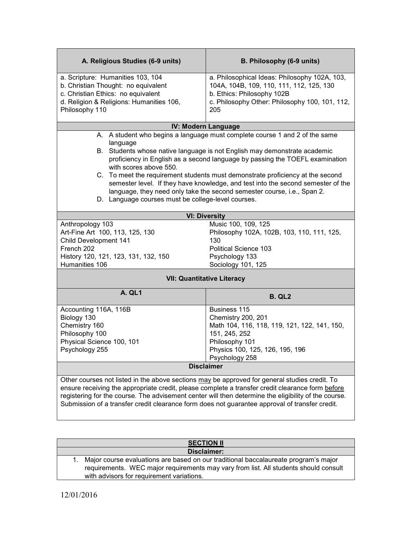| A. Religious Studies (6-9 units)                                                                                                                                                                       | B. Philosophy (6-9 units)                                                                                                                                   |  |  |  |
|--------------------------------------------------------------------------------------------------------------------------------------------------------------------------------------------------------|-------------------------------------------------------------------------------------------------------------------------------------------------------------|--|--|--|
| a. Scripture: Humanities 103, 104                                                                                                                                                                      | a. Philosophical Ideas: Philosophy 102A, 103,                                                                                                               |  |  |  |
| b. Christian Thought: no equivalent                                                                                                                                                                    | 104A, 104B, 109, 110, 111, 112, 125, 130                                                                                                                    |  |  |  |
| c. Christian Ethics: no equivalent                                                                                                                                                                     | b. Ethics: Philosophy 102B                                                                                                                                  |  |  |  |
| d. Religion & Religions: Humanities 106,                                                                                                                                                               | c. Philosophy Other: Philosophy 100, 101, 112,                                                                                                              |  |  |  |
| Philosophy 110                                                                                                                                                                                         | 205                                                                                                                                                         |  |  |  |
|                                                                                                                                                                                                        | <b>IV: Modern Language</b>                                                                                                                                  |  |  |  |
|                                                                                                                                                                                                        | A. A student who begins a language must complete course 1 and 2 of the same                                                                                 |  |  |  |
| language                                                                                                                                                                                               |                                                                                                                                                             |  |  |  |
|                                                                                                                                                                                                        | B. Students whose native language is not English may demonstrate academic                                                                                   |  |  |  |
|                                                                                                                                                                                                        | proficiency in English as a second language by passing the TOEFL examination                                                                                |  |  |  |
| with scores above 550.                                                                                                                                                                                 |                                                                                                                                                             |  |  |  |
|                                                                                                                                                                                                        | C. To meet the requirement students must demonstrate proficiency at the second                                                                              |  |  |  |
|                                                                                                                                                                                                        | semester level. If they have knowledge, and test into the second semester of the<br>language, they need only take the second semester course, i.e., Span 2. |  |  |  |
| D. Language courses must be college-level courses.                                                                                                                                                     |                                                                                                                                                             |  |  |  |
|                                                                                                                                                                                                        |                                                                                                                                                             |  |  |  |
|                                                                                                                                                                                                        | <b>VI: Diversity</b>                                                                                                                                        |  |  |  |
| Anthropology 103                                                                                                                                                                                       | Music 100, 109, 125                                                                                                                                         |  |  |  |
| Art-Fine Art 100, 113, 125, 130                                                                                                                                                                        | Philosophy 102A, 102B, 103, 110, 111, 125,                                                                                                                  |  |  |  |
| Child Development 141                                                                                                                                                                                  | 130                                                                                                                                                         |  |  |  |
| French 202                                                                                                                                                                                             | <b>Political Science 103</b>                                                                                                                                |  |  |  |
| History 120, 121, 123, 131, 132, 150<br>Humanities 106                                                                                                                                                 | Psychology 133                                                                                                                                              |  |  |  |
| Sociology 101, 125                                                                                                                                                                                     |                                                                                                                                                             |  |  |  |
|                                                                                                                                                                                                        | <b>VII: Quantitative Literacy</b>                                                                                                                           |  |  |  |
| A. QL1                                                                                                                                                                                                 | <b>B. QL2</b>                                                                                                                                               |  |  |  |
| Accounting 116A, 116B                                                                                                                                                                                  | Business 115                                                                                                                                                |  |  |  |
| Biology 130                                                                                                                                                                                            | Chemistry 200, 201                                                                                                                                          |  |  |  |
| Chemistry 160                                                                                                                                                                                          | Math 104, 116, 118, 119, 121, 122, 141, 150,                                                                                                                |  |  |  |
| Philosophy 100                                                                                                                                                                                         | 151, 245, 252                                                                                                                                               |  |  |  |
| Physical Science 100, 101                                                                                                                                                                              | Philosophy 101                                                                                                                                              |  |  |  |
| Psychology 255                                                                                                                                                                                         | Physics 100, 125, 126, 195, 196<br>Psychology 258                                                                                                           |  |  |  |
|                                                                                                                                                                                                        | <b>Disclaimer</b>                                                                                                                                           |  |  |  |
|                                                                                                                                                                                                        |                                                                                                                                                             |  |  |  |
| Other courses not listed in the above sections may be approved for general studies credit. To                                                                                                          |                                                                                                                                                             |  |  |  |
| ensure receiving the appropriate credit, please complete a transfer credit clearance form before                                                                                                       |                                                                                                                                                             |  |  |  |
| registering for the course. The advisement center will then determine the eligibility of the course.<br>Submission of a transfer credit clearance form does not guarantee approval of transfer credit. |                                                                                                                                                             |  |  |  |
|                                                                                                                                                                                                        |                                                                                                                                                             |  |  |  |
|                                                                                                                                                                                                        |                                                                                                                                                             |  |  |  |

| <b>SECTION II</b>                                                                                                                                                                                                           |
|-----------------------------------------------------------------------------------------------------------------------------------------------------------------------------------------------------------------------------|
| Disclaimer:                                                                                                                                                                                                                 |
| 1. Major course evaluations are based on our traditional baccalaureate program's major<br>requirements. WEC major requirements may vary from list. All students should consult<br>with advisors for requirement variations. |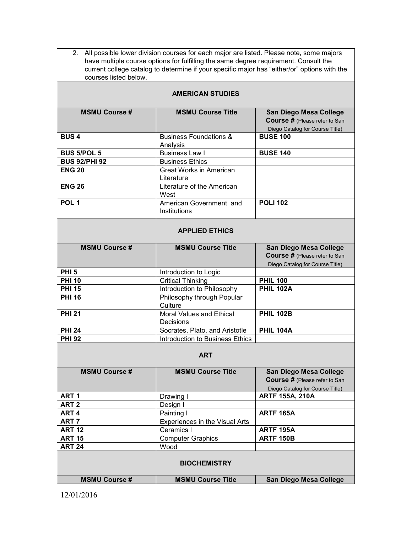2. All possible lower division courses for each major are listed. Please note, some majors have multiple course options for fulfilling the same degree requirement. Consult the current college catalog to determine if your specific major has "either/or" options with the courses listed below.

| <b>AMERICAN STUDIES</b> |                                               |                                                                                                   |
|-------------------------|-----------------------------------------------|---------------------------------------------------------------------------------------------------|
| <b>MSMU Course #</b>    | <b>MSMU Course Title</b>                      | San Diego Mesa College<br><b>Course # (Please refer to San</b><br>Diego Catalog for Course Title) |
| <b>BUS4</b>             | <b>Business Foundations &amp;</b><br>Analysis | <b>BUSE 100</b>                                                                                   |
| <b>BUS 5/POL 5</b>      | <b>Business Law I</b>                         | <b>BUSE 140</b>                                                                                   |
| <b>BUS 92/PHI 92</b>    | <b>Business Ethics</b>                        |                                                                                                   |
| <b>ENG 20</b>           | Great Works in American<br>Literature         |                                                                                                   |
| <b>ENG 26</b>           | Literature of the American<br>West            |                                                                                                   |
| POL <sub>1</sub>        | American Government and<br>Institutions       | <b>POLI 102</b>                                                                                   |
|                         | <b>APPLIED ETHICS</b>                         |                                                                                                   |
| <b>MSMU Course #</b>    | <b>MSMU Course Title</b>                      | San Diego Mesa College                                                                            |
|                         |                                               | <b>Course # (Please refer to San</b>                                                              |
|                         |                                               | Diego Catalog for Course Title)                                                                   |
| PHI <sub>5</sub>        | Introduction to Logic                         |                                                                                                   |
| <b>PHI 10</b>           | <b>Critical Thinking</b>                      | <b>PHIL 100</b>                                                                                   |
| <b>PHI 15</b>           | Introduction to Philosophy                    | <b>PHII 102A</b>                                                                                  |

| PHI <sub>5</sub> | Introduction to Logic           |                  |
|------------------|---------------------------------|------------------|
| <b>PHI 10</b>    | <b>Critical Thinking</b>        | <b>PHIL 100</b>  |
| <b>PHI 15</b>    | Introduction to Philosophy      | <b>PHIL 102A</b> |
| <b>PHI 16</b>    | Philosophy through Popular      |                  |
|                  | Culture                         |                  |
| <b>PHI 21</b>    | Moral Values and Ethical        | <b>PHIL 102B</b> |
|                  | Decisions                       |                  |
| <b>PHI 24</b>    | Socrates, Plato, and Aristotle  | <b>PHIL 104A</b> |
| <b>PHI 92</b>    | Introduction to Business Ethics |                  |
|                  |                                 |                  |

#### **ART**

| <b>MSMU Course #</b> | <b>MSMU Course Title</b>       | San Diego Mesa College<br><b>Course #</b> (Please refer to San<br>Diego Catalog for Course Title) |  |
|----------------------|--------------------------------|---------------------------------------------------------------------------------------------------|--|
| ART <sub>1</sub>     | Drawing I                      | <b>ARTF 155A, 210A</b>                                                                            |  |
| ART <sub>2</sub>     | Design I                       |                                                                                                   |  |
| ART <sub>4</sub>     | Painting I                     | <b>ARTF 165A</b>                                                                                  |  |
| ART <sub>7</sub>     | Experiences in the Visual Arts |                                                                                                   |  |
| <b>ART 12</b>        | Ceramics I                     | <b>ARTF 195A</b>                                                                                  |  |
| <b>ART 15</b>        | <b>Computer Graphics</b>       | <b>ARTF 150B</b>                                                                                  |  |
| <b>ART 24</b>        | Wood                           |                                                                                                   |  |
| <b>BIOCHEMISTRY</b>  |                                |                                                                                                   |  |
| <b>MSMU Course #</b> | <b>MSMU Course Title</b>       | San Diego Mesa College                                                                            |  |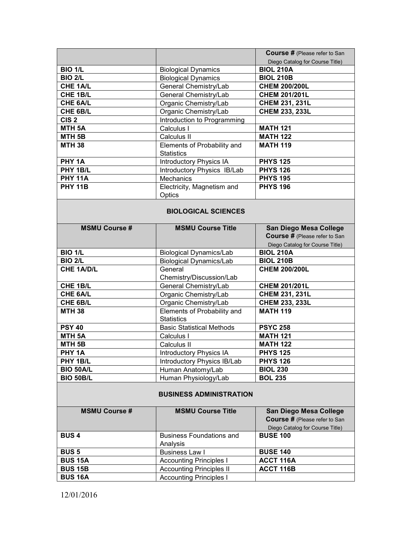|                                |                                                                   | <b>Course # (Please refer to San</b>               |
|--------------------------------|-------------------------------------------------------------------|----------------------------------------------------|
|                                |                                                                   | Diego Catalog for Course Title)                    |
| <b>BIO 1/L</b>                 | <b>Biological Dynamics</b>                                        | <b>BIOL 210A</b>                                   |
| <b>BIO 2/L</b>                 | <b>Biological Dynamics</b>                                        | <b>BIOL 210B</b>                                   |
| CHE 1A/L                       | General Chemistry/Lab                                             | <b>CHEM 200/200L</b>                               |
| CHE 1B/L                       | General Chemistry/Lab                                             | <b>CHEM 201/201L</b>                               |
| <b>CHE 6A/L</b>                | Organic Chemistry/Lab                                             | CHEM 231, 231L                                     |
| CHE 6B/L                       | Organic Chemistry/Lab                                             | <b>CHEM 233, 233L</b>                              |
| CIS <sub>2</sub>               | Introduction to Programming                                       |                                                    |
| <b>MTH 5A</b>                  | Calculus I                                                        | <b>MATH 121</b>                                    |
| MTH <sub>5B</sub>              | Calculus II                                                       | <b>MATH 122</b>                                    |
| <b>MTH 38</b>                  | Elements of Probability and                                       | <b>MATH 119</b>                                    |
|                                | <b>Statistics</b>                                                 |                                                    |
| PHY 1A                         | Introductory Physics IA                                           | <b>PHYS 125</b>                                    |
| PHY 1B/L                       | Introductory Physics IB/Lab                                       | <b>PHYS 126</b>                                    |
| <b>PHY 11A</b>                 | <b>Mechanics</b>                                                  | <b>PHYS 195</b>                                    |
| <b>PHY 11B</b>                 | Electricity, Magnetism and                                        | <b>PHYS 196</b>                                    |
|                                | Optics                                                            |                                                    |
|                                |                                                                   |                                                    |
|                                | <b>BIOLOGICAL SCIENCES</b>                                        |                                                    |
|                                |                                                                   |                                                    |
| <b>MSMU Course#</b>            | <b>MSMU Course Title</b>                                          | San Diego Mesa College                             |
|                                |                                                                   | Course # (Please refer to San                      |
|                                |                                                                   | Diego Catalog for Course Title)                    |
| <b>BIO 1/L</b>                 | <b>Biological Dynamics/Lab</b>                                    | <b>BIOL 210A</b>                                   |
| <b>BIO 2/L</b>                 | <b>Biological Dynamics/Lab</b>                                    | <b>BIOL 210B</b>                                   |
| <b>CHE 1A/D/L</b>              | General                                                           | <b>CHEM 200/200L</b>                               |
|                                | Chemistry/Discussion/Lab                                          |                                                    |
| CHE 1B/L                       | General Chemistry/Lab                                             | <b>CHEM 201/201L</b>                               |
| CHE 6A/L                       | Organic Chemistry/Lab                                             | <b>CHEM 231, 231L</b>                              |
| CHE 6B/L                       | Organic Chemistry/Lab                                             | <b>CHEM 233, 233L</b>                              |
| <b>MTH 38</b>                  | Elements of Probability and                                       | <b>MATH 119</b>                                    |
|                                | <b>Statistics</b>                                                 |                                                    |
| <b>PSY 40</b>                  | <b>Basic Statistical Methods</b>                                  | <b>PSYC 258</b>                                    |
| MTH <sub>5A</sub>              | Calculus I                                                        | <b>MATH 121</b>                                    |
| MTH <sub>5B</sub>              | Calculus II                                                       | <b>MATH 122</b>                                    |
| PHY 1A                         | <b>Introductory Physics IA</b>                                    | <b>PHYS 125</b>                                    |
| PHY 1B/L                       | Introductory Physics IB/Lab                                       | <b>PHYS 126</b>                                    |
| <b>BIO 50A/L</b>               | Human Anatomy/Lab                                                 | <b>BIOL 230</b>                                    |
| <b>BIO 50B/L</b>               | Human Physiology/Lab                                              | <b>BOL 235</b>                                     |
|                                |                                                                   |                                                    |
|                                | <b>BUSINESS ADMINISTRATION</b>                                    |                                                    |
|                                |                                                                   |                                                    |
| <b>MSMU Course #</b>           | <b>MSMU Course Title</b>                                          | San Diego Mesa College                             |
|                                |                                                                   | <b>Course # (Please refer to San</b>               |
|                                |                                                                   | Diego Catalog for Course Title)<br><b>BUSE 100</b> |
| <b>BUS4</b>                    | <b>Business Foundations and</b>                                   |                                                    |
|                                | Analysis<br><b>Business Law I</b>                                 |                                                    |
| <b>BUS 5</b><br><b>BUS 15A</b> |                                                                   | <b>BUSE 140</b>                                    |
| <b>BUS 15B</b>                 | <b>Accounting Principles I</b>                                    | ACCT 116A                                          |
| <b>BUS 16A</b>                 | <b>Accounting Principles II</b><br><b>Accounting Principles I</b> | <b>ACCT 116B</b>                                   |
|                                |                                                                   |                                                    |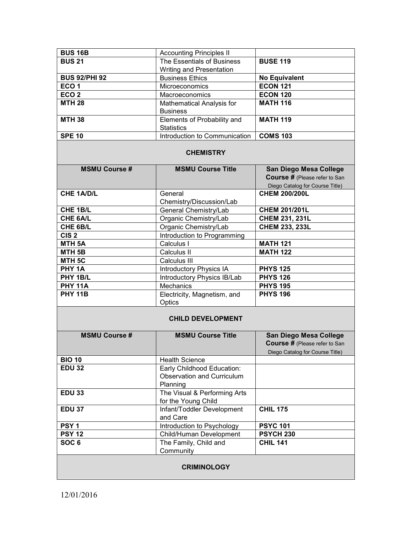| <b>BUS 16B</b>              | <b>Accounting Principles II</b>                     |                                 |  |
|-----------------------------|-----------------------------------------------------|---------------------------------|--|
| <b>BUS 21</b>               | The Essentials of Business                          | <b>BUSE 119</b>                 |  |
|                             | Writing and Presentation                            |                                 |  |
| <b>BUS 92/PHI 92</b>        | <b>Business Ethics</b>                              | <b>No Equivalent</b>            |  |
| ECO <sub>1</sub>            | Microeconomics                                      | <b>ECON 121</b>                 |  |
| ECO <sub>2</sub>            | Macroeconomics                                      | <b>ECON 120</b>                 |  |
| <b>MTH 28</b>               | Mathematical Analysis for                           | <b>MATH 116</b>                 |  |
|                             | <b>Business</b>                                     |                                 |  |
| <b>MTH 38</b>               | Elements of Probability and                         | <b>MATH 119</b>                 |  |
|                             | <b>Statistics</b>                                   |                                 |  |
| <b>SPE 10</b>               | Introduction to Communication                       | <b>COMS 103</b>                 |  |
|                             | <b>CHEMISTRY</b>                                    |                                 |  |
|                             |                                                     |                                 |  |
| <b>MSMU Course #</b>        | <b>MSMU Course Title</b>                            | San Diego Mesa College          |  |
|                             |                                                     | Course # (Please refer to San   |  |
|                             |                                                     | Diego Catalog for Course Title) |  |
| <b>CHE 1A/D/L</b>           | General                                             | <b>CHEM 200/200L</b>            |  |
|                             | Chemistry/Discussion/Lab                            |                                 |  |
| CHE 1B/L<br><b>CHE 6A/L</b> | General Chemistry/Lab                               | <b>CHEM 201/201L</b>            |  |
| CHE 6B/L                    | Organic Chemistry/Lab                               | <b>CHEM 231, 231L</b>           |  |
| CIS <sub>2</sub>            | Organic Chemistry/Lab                               | <b>CHEM 233, 233L</b>           |  |
| MTH <sub>5A</sub>           | Introduction to Programming                         |                                 |  |
|                             | Calculus I                                          | <b>MATH 121</b>                 |  |
| MTH <sub>5B</sub>           | Calculus II                                         | <b>MATH 122</b>                 |  |
| MTH <sub>5C</sub>           | Calculus III                                        |                                 |  |
| PHY <sub>1A</sub>           | Introductory Physics IA                             | <b>PHYS 125</b>                 |  |
| PHY 1B/L                    | Introductory Physics IB/Lab                         | <b>PHYS 126</b>                 |  |
| <b>PHY 11A</b>              | <b>Mechanics</b>                                    | <b>PHYS 195</b>                 |  |
| <b>PHY 11B</b>              | Electricity, Magnetism, and<br>Optics               | <b>PHYS 196</b>                 |  |
| <b>CHILD DEVELOPMENT</b>    |                                                     |                                 |  |
| <b>MSMU Course #</b>        | <b>MSMU Course Title</b>                            | San Diego Mesa College          |  |
|                             |                                                     | Course # (Please refer to San   |  |
|                             |                                                     | Diego Catalog for Course Title) |  |
| <b>BIO 10</b>               | <b>Health Science</b>                               |                                 |  |
| <b>EDU 32</b>               | Early Childhood Education:                          |                                 |  |
|                             | <b>Observation and Curriculum</b>                   |                                 |  |
|                             | Planning                                            |                                 |  |
| <b>EDU 33</b>               | The Visual & Performing Arts<br>for the Young Child |                                 |  |
| <b>EDU 37</b>               | Infant/Toddler Development<br>and Care              | <b>CHIL 175</b>                 |  |
| PSY <sub>1</sub>            | Introduction to Psychology                          | <b>PSYC 101</b>                 |  |
| <b>PSY 12</b>               | Child/Human Development                             | <b>PSYCH 230</b>                |  |
| SOC <sub>6</sub>            | The Family, Child and                               | <b>CHIL 141</b>                 |  |
|                             | Community                                           |                                 |  |
| <b>CRIMINOLOGY</b>          |                                                     |                                 |  |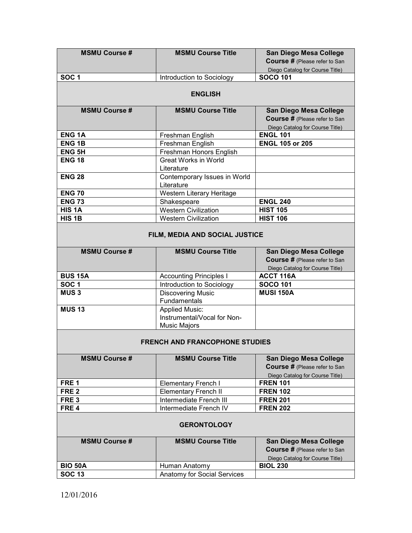| <b>MSMU Course #</b>                  | <b>MSMU Course Title</b>                                    | San Diego Mesa College<br>Course # (Please refer to San                                           |  |
|---------------------------------------|-------------------------------------------------------------|---------------------------------------------------------------------------------------------------|--|
|                                       |                                                             | Diego Catalog for Course Title)                                                                   |  |
| <b>SOC1</b>                           | Introduction to Sociology                                   | <b>SOCO 101</b>                                                                                   |  |
|                                       |                                                             |                                                                                                   |  |
|                                       | <b>ENGLISH</b>                                              |                                                                                                   |  |
| <b>MSMU Course #</b>                  | <b>MSMU Course Title</b>                                    | San Diego Mesa College                                                                            |  |
|                                       |                                                             | <b>Course # (Please refer to San</b>                                                              |  |
|                                       |                                                             | Diego Catalog for Course Title)                                                                   |  |
| <b>ENG1A</b>                          | Freshman English                                            | <b>ENGL 101</b>                                                                                   |  |
| <b>ENG1B</b>                          | Freshman English                                            | <b>ENGL 105 or 205</b>                                                                            |  |
| <b>ENG 5H</b>                         | Freshman Honors English                                     |                                                                                                   |  |
| <b>ENG 18</b>                         | Great Works in World                                        |                                                                                                   |  |
|                                       | Literature                                                  |                                                                                                   |  |
| <b>ENG 28</b>                         | Contemporary Issues in World<br>Literature                  |                                                                                                   |  |
| <b>ENG 70</b>                         | Western Literary Heritage                                   |                                                                                                   |  |
| <b>ENG 73</b>                         | Shakespeare                                                 | <b>ENGL 240</b>                                                                                   |  |
| HIS <sub>1</sub> A                    | <b>Western Civilization</b>                                 | <b>HIST 105</b>                                                                                   |  |
| HIS <sub>1B</sub>                     | <b>Western Civilization</b>                                 | <b>HIST 106</b>                                                                                   |  |
|                                       | FILM, MEDIA AND SOCIAL JUSTICE                              |                                                                                                   |  |
|                                       |                                                             |                                                                                                   |  |
| <b>MSMU Course #</b>                  | <b>MSMU Course Title</b>                                    | San Diego Mesa College<br>Course # (Please refer to San                                           |  |
| <b>BUS 15A</b>                        |                                                             | Diego Catalog for Course Title)<br>ACCT 116A                                                      |  |
| SOC <sub>1</sub>                      | <b>Accounting Principles I</b><br>Introduction to Sociology | <b>SOCO 101</b>                                                                                   |  |
| <b>MUS3</b>                           | <b>Discovering Music</b>                                    | <b>MUSI 150A</b>                                                                                  |  |
|                                       | Fundamentals                                                |                                                                                                   |  |
| <b>MUS 13</b>                         | <b>Applied Music:</b>                                       |                                                                                                   |  |
|                                       | Instrumental/Vocal for Non-                                 |                                                                                                   |  |
|                                       | <b>Music Majors</b>                                         |                                                                                                   |  |
| <b>FRENCH AND FRANCOPHONE STUDIES</b> |                                                             |                                                                                                   |  |
| <b>MSMU Course #</b>                  | <b>MSMU Course Title</b>                                    | San Diego Mesa College<br><b>Course # (Please refer to San</b><br>Diego Catalog for Course Title) |  |
| FRE <sub>1</sub>                      | <b>Elementary French I</b>                                  | <b>FREN 101</b>                                                                                   |  |
| FRE <sub>2</sub>                      | <b>Elementary French II</b>                                 | <b>FREN 102</b>                                                                                   |  |
| FRE <sub>3</sub>                      | Intermediate French III                                     | <b>FREN 201</b>                                                                                   |  |
| FRE <sub>4</sub>                      | Intermediate French IV                                      | <b>FREN 202</b>                                                                                   |  |
|                                       |                                                             |                                                                                                   |  |
| <b>GERONTOLOGY</b>                    |                                                             |                                                                                                   |  |
| <b>MSMU Course #</b>                  | <b>MSMU Course Title</b>                                    | <b>San Diego Mesa College</b>                                                                     |  |
|                                       |                                                             | <b>Course # (Please refer to San</b>                                                              |  |
|                                       |                                                             | Diego Catalog for Course Title)                                                                   |  |
| <b>BIO 50A</b>                        | Human Anatomy                                               | <b>BIOL 230</b>                                                                                   |  |
| <b>SOC 13</b>                         | <b>Anatomy for Social Services</b>                          |                                                                                                   |  |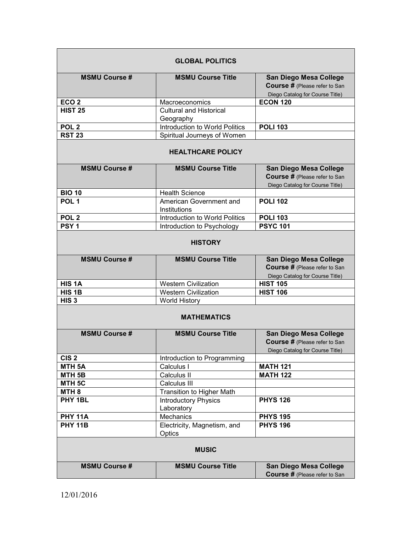| <b>GLOBAL POLITICS</b> |                                             |                                                                                                   |  |  |
|------------------------|---------------------------------------------|---------------------------------------------------------------------------------------------------|--|--|
| <b>MSMU Course #</b>   | <b>MSMU Course Title</b>                    | <b>San Diego Mesa College</b><br>Course # (Please refer to San<br>Diego Catalog for Course Title) |  |  |
| ECO <sub>2</sub>       | Macroeconomics                              | <b>ECON 120</b>                                                                                   |  |  |
| <b>HIST 25</b>         | <b>Cultural and Historical</b><br>Geography |                                                                                                   |  |  |
| POL <sub>2</sub>       | Introduction to World Politics              | <b>POLI 103</b>                                                                                   |  |  |
| <b>RST 23</b>          | Spiritual Journeys of Women                 |                                                                                                   |  |  |
|                        | <b>HEALTHCARE POLICY</b>                    |                                                                                                   |  |  |
| <b>MSMU Course #</b>   | <b>MSMU Course Title</b>                    | San Diego Mesa College<br><b>Course # (Please refer to San</b><br>Diego Catalog for Course Title) |  |  |
| <b>BIO 10</b>          | <b>Health Science</b>                       |                                                                                                   |  |  |
| POL <sub>1</sub>       | American Government and<br>Institutions     | <b>POLI 102</b>                                                                                   |  |  |
| POL <sub>2</sub>       | Introduction to World Politics              | <b>POLI 103</b>                                                                                   |  |  |
| PSY <sub>1</sub>       | Introduction to Psychology                  | <b>PSYC 101</b>                                                                                   |  |  |
| <b>HISTORY</b>         |                                             |                                                                                                   |  |  |
| <b>MSMU Course #</b>   | <b>MSMU Course Title</b>                    | San Diego Mesa College<br>Course # (Please refer to San<br>Diego Catalog for Course Title)        |  |  |
| HIS 1A                 | <b>Western Civilization</b>                 | <b>HIST 105</b>                                                                                   |  |  |
| HIS <sub>1B</sub>      | <b>Western Civilization</b>                 | <b>HIST 106</b>                                                                                   |  |  |
| HIS <sub>3</sub>       | <b>World History</b>                        |                                                                                                   |  |  |
|                        | <b>MATHEMATICS</b>                          |                                                                                                   |  |  |
| <b>MSMU Course #</b>   | <b>MSMU Course Title</b>                    | San Diego Mesa College<br>Course # (Please refer to San<br>Diego Catalog for Course Title)        |  |  |
| CIS <sub>2</sub>       | Introduction to Programming                 |                                                                                                   |  |  |
| MTH <sub>5A</sub>      | Calculus I                                  | <b>MATH 121</b>                                                                                   |  |  |
| MTH <sub>5B</sub>      | Calculus II                                 | <b>MATH 122</b>                                                                                   |  |  |
| MTH <sub>5C</sub>      | Calculus III                                |                                                                                                   |  |  |
| MTH <sub>8</sub>       | Transition to Higher Math                   |                                                                                                   |  |  |
| PHY 1BL                | <b>Introductory Physics</b><br>Laboratory   | <b>PHYS 126</b>                                                                                   |  |  |
| <b>PHY 11A</b>         | Mechanics                                   | <b>PHYS 195</b>                                                                                   |  |  |
| <b>PHY 11B</b>         | Electricity, Magnetism, and<br>Optics       | <b>PHYS 196</b>                                                                                   |  |  |
| <b>MUSIC</b>           |                                             |                                                                                                   |  |  |
| <b>MSMU Course #</b>   | <b>MSMU Course Title</b>                    | San Diego Mesa College<br><b>Course # (Please refer to San</b>                                    |  |  |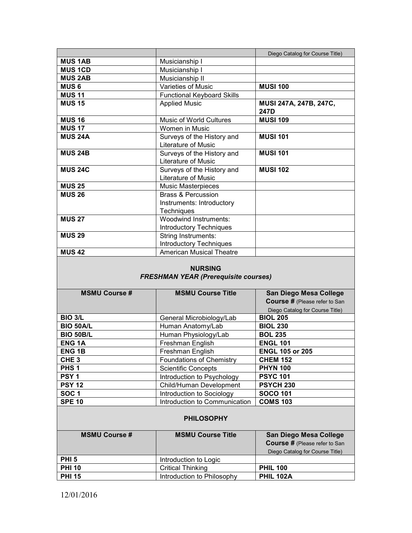|                |                                   | Diego Catalog for Course Title) |
|----------------|-----------------------------------|---------------------------------|
| <b>MUS 1AB</b> | Musicianship I                    |                                 |
| <b>MUS 1CD</b> | Musicianship I                    |                                 |
| <b>MUS 2AB</b> | Musicianship II                   |                                 |
| <b>MUS 6</b>   | Varieties of Music                | <b>MUSI 100</b>                 |
| <b>MUS 11</b>  | <b>Functional Keyboard Skills</b> |                                 |
| <b>MUS 15</b>  | <b>Applied Music</b>              | MUSI 247A, 247B, 247C,<br>247D  |
| <b>MUS 16</b>  | Music of World Cultures           | <b>MUSI 109</b>                 |
| <b>MUS 17</b>  | Women in Music                    |                                 |
| <b>MUS 24A</b> | Surveys of the History and        | <b>MUSI 101</b>                 |
|                | Literature of Music               |                                 |
| <b>MUS 24B</b> | Surveys of the History and        | <b>MUSI 101</b>                 |
|                | <b>Literature of Music</b>        |                                 |
| <b>MUS 24C</b> | Surveys of the History and        | <b>MUSI 102</b>                 |
|                | <b>Literature of Music</b>        |                                 |
| <b>MUS 25</b>  | <b>Music Masterpieces</b>         |                                 |
| <b>MUS 26</b>  | <b>Brass &amp; Percussion</b>     |                                 |
|                | Instruments: Introductory         |                                 |
|                | Techniques                        |                                 |
| <b>MUS 27</b>  | <b>Woodwind Instruments:</b>      |                                 |
|                | Introductory Techniques           |                                 |
| <b>MUS 29</b>  | String Instruments:               |                                 |
|                | <b>Introductory Techniques</b>    |                                 |
| <b>MUS 42</b>  | <b>American Musical Theatre</b>   |                                 |

# **NURSING**  *FRESHMAN YEAR (Prerequisite courses)*

| <b>MSMU Course #</b>    | <b>MSMU Course Title</b>        | <b>San Diego Mesa College</b><br><b>Course # (Please refer to San</b> |
|-------------------------|---------------------------------|-----------------------------------------------------------------------|
|                         |                                 | Diego Catalog for Course Title)                                       |
| <b>BIO 3/L</b>          | General Microbiology/Lab        | <b>BIOL 205</b>                                                       |
| <b>BIO 50A/L</b>        | Human Anatomy/Lab               | <b>BIOL 230</b>                                                       |
| <b>BIO 50B/L</b>        | Human Physiology/Lab            | <b>BOL 235</b>                                                        |
| <b>ENG<sub>1</sub>A</b> | Freshman English                | <b>ENGL 101</b>                                                       |
| <b>ENG 1B</b>           | Freshman English                | <b>ENGL 105 or 205</b>                                                |
| CHE <sub>3</sub>        | <b>Foundations of Chemistry</b> | <b>CHEM 152</b>                                                       |
| PHS <sub>1</sub>        | <b>Scientific Concepts</b>      | <b>PHYN 100</b>                                                       |
| PSY <sub>1</sub>        | Introduction to Psychology      | <b>PSYC 101</b>                                                       |
| <b>PSY 12</b>           | Child/Human Development         | <b>PSYCH 230</b>                                                      |
| SOC <sub>1</sub>        | Introduction to Sociology       | <b>SOCO 101</b>                                                       |
| <b>SPE 10</b>           | Introduction to Communication   | <b>COMS 103</b>                                                       |

# **PHILOSOPHY**

| <b>MSMU Course #</b> | <b>MSMU Course Title</b>   | <b>San Diego Mesa College</b><br><b>Course # (Please refer to San</b> |
|----------------------|----------------------------|-----------------------------------------------------------------------|
|                      |                            | Diego Catalog for Course Title)                                       |
| PHI <sub>5</sub>     | Introduction to Logic      |                                                                       |
| <b>PHI 10</b>        | <b>Critical Thinking</b>   | <b>PHIL 100</b>                                                       |
| <b>PHI 15</b>        | Introduction to Philosophy | <b>PHIL 102A</b>                                                      |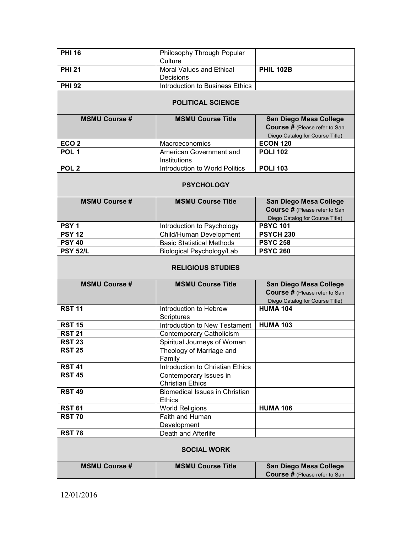| <b>PHI 16</b>            | Philosophy Through Popular                        |                                                                                            |
|--------------------------|---------------------------------------------------|--------------------------------------------------------------------------------------------|
|                          | Culture                                           |                                                                                            |
| <b>PHI 21</b>            | Moral Values and Ethical<br>Decisions             | <b>PHIL 102B</b>                                                                           |
| <b>PHI 92</b>            | Introduction to Business Ethics                   |                                                                                            |
|                          | <b>POLITICAL SCIENCE</b>                          |                                                                                            |
| <b>MSMU Course #</b>     | <b>MSMU Course Title</b>                          | San Diego Mesa College<br>Course # (Please refer to San<br>Diego Catalog for Course Title) |
| ECO <sub>2</sub>         | Macroeconomics                                    | <b>ECON 120</b>                                                                            |
| POL <sub>1</sub>         | American Government and                           | <b>POLI 102</b>                                                                            |
|                          | Institutions                                      |                                                                                            |
| POL <sub>2</sub>         | Introduction to World Politics                    | <b>POLI 103</b>                                                                            |
|                          | <b>PSYCHOLOGY</b>                                 |                                                                                            |
| <b>MSMU Course #</b>     | <b>MSMU Course Title</b>                          | San Diego Mesa College<br>Course # (Please refer to San<br>Diego Catalog for Course Title) |
| PSY <sub>1</sub>         | Introduction to Psychology                        | <b>PSYC 101</b>                                                                            |
| <b>PSY 12</b>            | Child/Human Development                           | <b>PSYCH 230</b>                                                                           |
| <b>PSY 40</b>            | <b>Basic Statistical Methods</b>                  | <b>PSYC 258</b>                                                                            |
| <b>PSY 52/L</b>          | Biological Psychology/Lab                         | <b>PSYC 260</b>                                                                            |
| <b>RELIGIOUS STUDIES</b> |                                                   |                                                                                            |
| <b>MSMU Course #</b>     | <b>MSMU Course Title</b>                          | San Diego Mesa College                                                                     |
|                          |                                                   | Course # (Please refer to San                                                              |
|                          |                                                   | Diego Catalog for Course Title)                                                            |
| <b>RST 11</b>            | Introduction to Hebrew<br>Scriptures              | <b>HUMA 104</b>                                                                            |
| <b>RST 15</b>            | Introduction to New Testament                     | <b>HUMA 103</b>                                                                            |
| <b>RST 21</b>            | Contemporary Catholicism                          |                                                                                            |
| <b>RST 23</b>            | Spiritual Journeys of Women                       |                                                                                            |
| <b>RST 25</b>            | Theology of Marriage and<br>Family                |                                                                                            |
| <b>RST 41</b>            | Introduction to Christian Ethics                  |                                                                                            |
| <b>RST 45</b>            | Contemporary Issues in<br><b>Christian Ethics</b> |                                                                                            |
| <b>RST 49</b>            | Biomedical Issues in Christian<br><b>Ethics</b>   |                                                                                            |
| <b>RST 61</b>            | <b>World Religions</b>                            | <b>HUMA 106</b>                                                                            |
| <b>RST 70</b>            | Faith and Human                                   |                                                                                            |
|                          | Development                                       |                                                                                            |
| <b>RST 78</b>            | Death and Afterlife                               |                                                                                            |
| <b>SOCIAL WORK</b>       |                                                   |                                                                                            |
| <b>MSMU Course #</b>     | <b>MSMU Course Title</b>                          | San Diego Mesa College<br><b>Course # (Please refer to San</b>                             |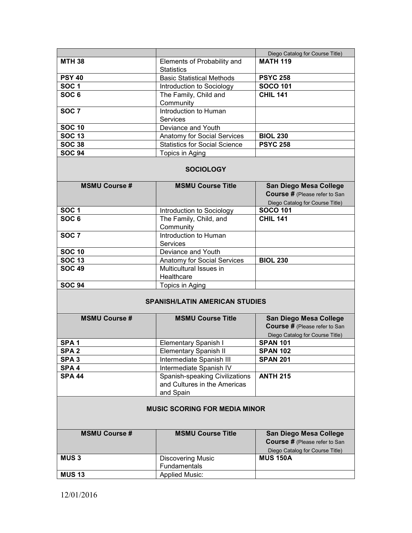|                  |                                      | Diego Catalog for Course Title) |
|------------------|--------------------------------------|---------------------------------|
| <b>MTH 38</b>    | Elements of Probability and          | <b>MATH 119</b>                 |
|                  | <b>Statistics</b>                    |                                 |
| <b>PSY 40</b>    | <b>Basic Statistical Methods</b>     | <b>PSYC 258</b>                 |
| SOC <sub>1</sub> | Introduction to Sociology            | <b>SOCO 101</b>                 |
| SOC <sub>6</sub> | The Family, Child and                | <b>CHIL 141</b>                 |
|                  | Community                            |                                 |
| SOC <sub>7</sub> | Introduction to Human                |                                 |
|                  | <b>Services</b>                      |                                 |
| <b>SOC 10</b>    | Deviance and Youth                   |                                 |
| <b>SOC 13</b>    | <b>Anatomy for Social Services</b>   | <b>BIOL 230</b>                 |
| <b>SOC 38</b>    | <b>Statistics for Social Science</b> | <b>PSYC 258</b>                 |
| <b>SOC 94</b>    | Topics in Aging                      |                                 |

# **SOCIOLOGY**

| <b>MSMU Course #</b> | <b>MSMU Course Title</b>    | San Diego Mesa College<br><b>Course #</b> (Please refer to San |
|----------------------|-----------------------------|----------------------------------------------------------------|
|                      |                             | Diego Catalog for Course Title)                                |
| <b>SOC1</b>          | Introduction to Sociology   | <b>SOCO 101</b>                                                |
| SOC <sub>6</sub>     | The Family, Child, and      | <b>CHIL 141</b>                                                |
|                      | Community                   |                                                                |
| <b>SOC 7</b>         | Introduction to Human       |                                                                |
|                      | Services                    |                                                                |
| <b>SOC 10</b>        | Deviance and Youth          |                                                                |
| <b>SOC 13</b>        | Anatomy for Social Services | <b>BIOL 230</b>                                                |
| <b>SOC 49</b>        | Multicultural Issues in     |                                                                |
|                      | Healthcare                  |                                                                |
| <b>SOC 94</b>        | Topics in Aging             |                                                                |

# **SPANISH/LATIN AMERICAN STUDIES**

| <b>MSMU Course #</b> | <b>MSMU Course Title</b>                                                    | <b>San Diego Mesa College</b><br><b>Course #</b> (Please refer to San<br>Diego Catalog for Course Title) |
|----------------------|-----------------------------------------------------------------------------|----------------------------------------------------------------------------------------------------------|
| SPA <sub>1</sub>     | Elementary Spanish I                                                        | <b>SPAN 101</b>                                                                                          |
| SPA <sub>2</sub>     | <b>Elementary Spanish II</b>                                                | <b>SPAN 102</b>                                                                                          |
| SPA <sub>3</sub>     | Intermediate Spanish III                                                    | <b>SPAN 201</b>                                                                                          |
| SPA <sub>4</sub>     | Intermediate Spanish IV                                                     |                                                                                                          |
| <b>SPA 44</b>        | Spanish-speaking Civilizations<br>and Cultures in the Americas<br>and Spain | <b>ANTH 215</b>                                                                                          |

## **MUSIC SCORING FOR MEDIA MINOR**

| <b>MSMU Course #</b> | <b>MSMU Course Title</b> | <b>San Diego Mesa College</b>        |
|----------------------|--------------------------|--------------------------------------|
|                      |                          | <b>Course #</b> (Please refer to San |
|                      |                          | Diego Catalog for Course Title)      |
| <b>MUS3</b>          | <b>Discovering Music</b> | <b>MUS 150A</b>                      |
|                      | <b>Fundamentals</b>      |                                      |
| <b>MUS 13</b>        | Applied Music:           |                                      |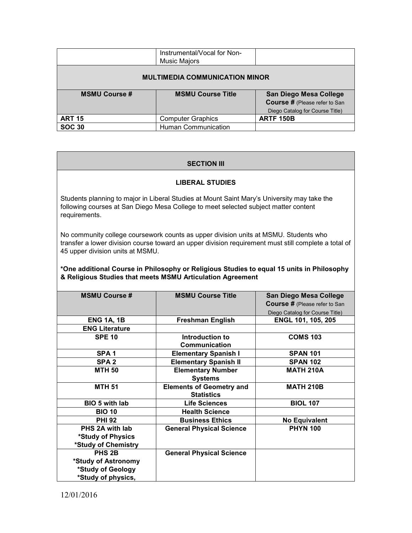|                                       | Instrumental/Vocal for Non-<br><b>Music Majors</b> |                                 |
|---------------------------------------|----------------------------------------------------|---------------------------------|
| <b>MULTIMEDIA COMMUNICATION MINOR</b> |                                                    |                                 |
| <b>MSMU Course #</b>                  | <b>MSMU Course Title</b>                           | <b>San Diego Mesa College</b>   |
|                                       |                                                    | Course # (Please refer to San   |
|                                       |                                                    | Diego Catalog for Course Title) |
| <b>ART 15</b>                         | <b>Computer Graphics</b>                           | <b>ARTF 150B</b>                |
| <b>SOC 30</b>                         | <b>Human Communication</b>                         |                                 |

# **SECTION III**

## **LIBERAL STUDIES**

Students planning to major in Liberal Studies at Mount Saint Mary's University may take the following courses at San Diego Mesa College to meet selected subject matter content requirements.

No community college coursework counts as upper division units at MSMU. Students who transfer a lower division course toward an upper division requirement must still complete a total of 45 upper division units at MSMU.

#### **\*One additional Course in Philosophy or Religious Studies to equal 15 units in Philosophy & Religious Studies that meets MSMU Articulation Agreement**

| <b>MSMU Course #</b>  | <b>MSMU Course Title</b>         | San Diego Mesa College<br><b>Course # (Please refer to San</b> |
|-----------------------|----------------------------------|----------------------------------------------------------------|
|                       |                                  | Diego Catalog for Course Title)                                |
| <b>ENG 1A, 1B</b>     | <b>Freshman English</b>          | ENGL 101, 105, 205                                             |
| <b>ENG Literature</b> |                                  |                                                                |
| <b>SPE 10</b>         | Introduction to<br>Communication | <b>COMS 103</b>                                                |
| SPA <sub>1</sub>      | <b>Elementary Spanish I</b>      | <b>SPAN 101</b>                                                |
| SPA <sub>2</sub>      | <b>Elementary Spanish II</b>     | <b>SPAN 102</b>                                                |
| <b>MTH 50</b>         | <b>Elementary Number</b>         | <b>MATH 210A</b>                                               |
|                       | <b>Systems</b>                   |                                                                |
| <b>MTH 51</b>         | <b>Elements of Geometry and</b>  | <b>MATH 210B</b>                                               |
|                       | <b>Statistics</b>                |                                                                |
| BIO 5 with lab        | <b>Life Sciences</b>             | <b>BIOL 107</b>                                                |
| <b>BIO 10</b>         | <b>Health Science</b>            |                                                                |
| <b>PHI 92</b>         | <b>Business Ethics</b>           | <b>No Equivalent</b>                                           |
| PHS 2A with lab       | <b>General Physical Science</b>  | <b>PHYN 100</b>                                                |
| *Study of Physics     |                                  |                                                                |
| *Study of Chemistry   |                                  |                                                                |
| PHS 2B                | <b>General Physical Science</b>  |                                                                |
| *Study of Astronomy   |                                  |                                                                |
| *Study of Geology     |                                  |                                                                |
| *Study of physics,    |                                  |                                                                |